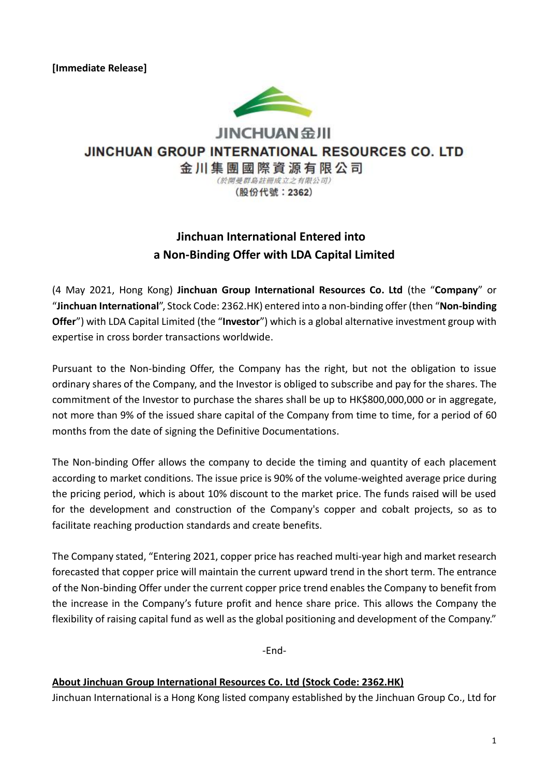

JINCHUAN 金川

## JINCHUAN GROUP INTERNATIONAL RESOURCES CO. LTD

金川集團國際資源有限公司 (於開曼群島註冊成立之有限公司)

(股份代號: 2362)

# **Jinchuan International Entered into a Non-Binding Offer with LDA Capital Limited**

(4 May 2021, Hong Kong) **Jinchuan Group International Resources Co. Ltd** (the "**Company**" or "**Jinchuan International**", Stock Code: 2362.HK) entered into a non-binding offer (then "**Non-binding Offer**") with LDA Capital Limited (the "**Investor**") which is a global alternative investment group with expertise in cross border transactions worldwide.

Pursuant to the Non-binding Offer, the Company has the right, but not the obligation to issue ordinary shares of the Company, and the Investor is obliged to subscribe and pay for the shares. The commitment of the Investor to purchase the shares shall be up to HK\$800,000,000 or in aggregate, not more than 9% of the issued share capital of the Company from time to time, for a period of 60 months from the date of signing the Definitive Documentations.

The Non-binding Offer allows the company to decide the timing and quantity of each placement according to market conditions. The issue price is 90% of the volume-weighted average price during the pricing period, which is about 10% discount to the market price. The funds raised will be used for the development and construction of the Company's copper and cobalt projects, so as to facilitate reaching production standards and create benefits.

The Company stated, "Entering 2021, copper price has reached multi-year high and market research forecasted that copper price will maintain the current upward trend in the short term. The entrance of the Non-binding Offer under the current copper price trend enables the Company to benefit from the increase in the Company's future profit and hence share price. This allows the Company the flexibility of raising capital fund as well as the global positioning and development of the Company."

-End-

#### **About Jinchuan Group International Resources Co. Ltd (Stock Code: 2362.HK)**

Jinchuan International is a Hong Kong listed company established by the Jinchuan Group Co., Ltd for